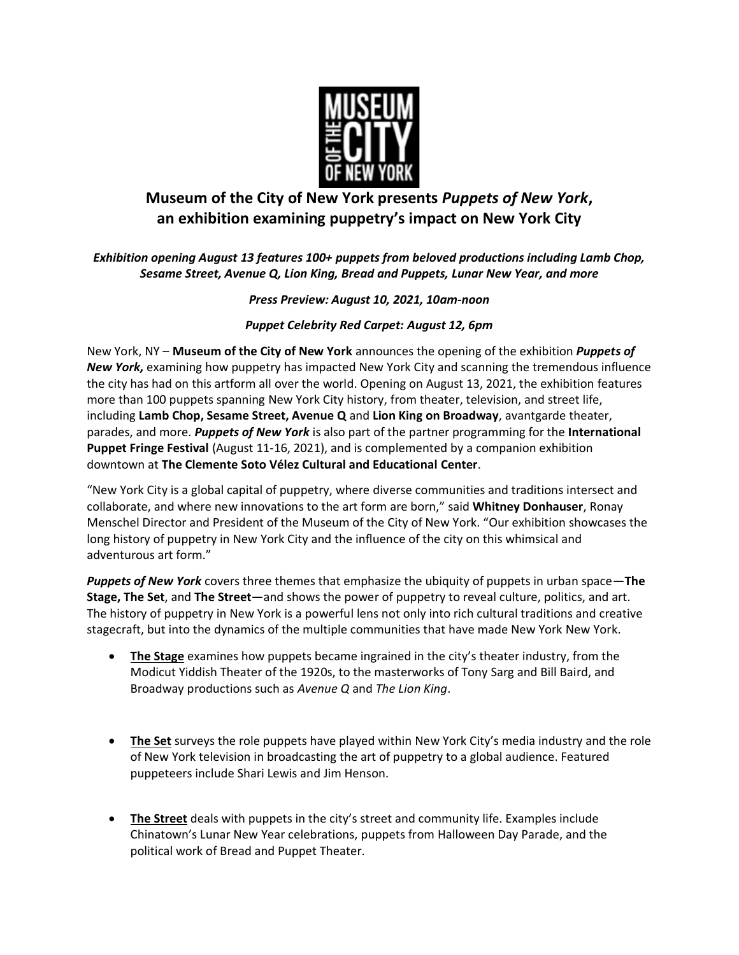

# **Museum of the City of New York presents** *Puppets of New York***, an exhibition examining puppetry's impact on New York City**

## *Exhibition opening August 13 features 100+ puppets from beloved productions including Lamb Chop, Sesame Street, Avenue Q, Lion King, Bread and Puppets, Lunar New Year, and more*

### *Press Preview: August 10, 2021, 10am-noon*

### *Puppet Celebrity Red Carpet: August 12, 6pm*

New York, NY – **Museum of the City of New York** announces the opening of the exhibition *Puppets of New York,* examining how puppetry has impacted New York City and scanning the tremendous influence the city has had on this artform all over the world. Opening on August 13, 2021, the exhibition features more than 100 puppets spanning New York City history, from theater, television, and street life, including **Lamb Chop, Sesame Street, Avenue Q** and **Lion King on Broadway**, avantgarde theater, parades, and more. *Puppets of New York* is also part of the partner programming for the **International Puppet Fringe Festival** (August 11-16, 2021), and is complemented by a companion exhibition downtown at **The Clemente Soto Vélez Cultural and Educational Center**.

"New York City is a global capital of puppetry, where diverse communities and traditions intersect and collaborate, and where new innovations to the art form are born," said **Whitney Donhauser**, Ronay Menschel Director and President of the Museum of the City of New York. "Our exhibition showcases the long history of puppetry in New York City and the influence of the city on this whimsical and adventurous art form."

*Puppets of New York* covers three themes that emphasize the ubiquity of puppets in urban space—**The Stage, The Set**, and **The Street**—and shows the power of puppetry to reveal culture, politics, and art. The history of puppetry in New York is a powerful lens not only into rich cultural traditions and creative stagecraft, but into the dynamics of the multiple communities that have made New York New York.

- **The Stage** examines how puppets became ingrained in the city's theater industry, from the Modicut Yiddish Theater of the 1920s, to the masterworks of Tony Sarg and Bill Baird, and Broadway productions such as *Avenue Q* and *The Lion King*.
- **The Set** surveys the role puppets have played within New York City's media industry and the role of New York television in broadcasting the art of puppetry to a global audience. Featured puppeteers include Shari Lewis and Jim Henson.
- **The Street** deals with puppets in the city's street and community life. Examples include Chinatown's Lunar New Year celebrations, puppets from Halloween Day Parade, and the political work of Bread and Puppet Theater.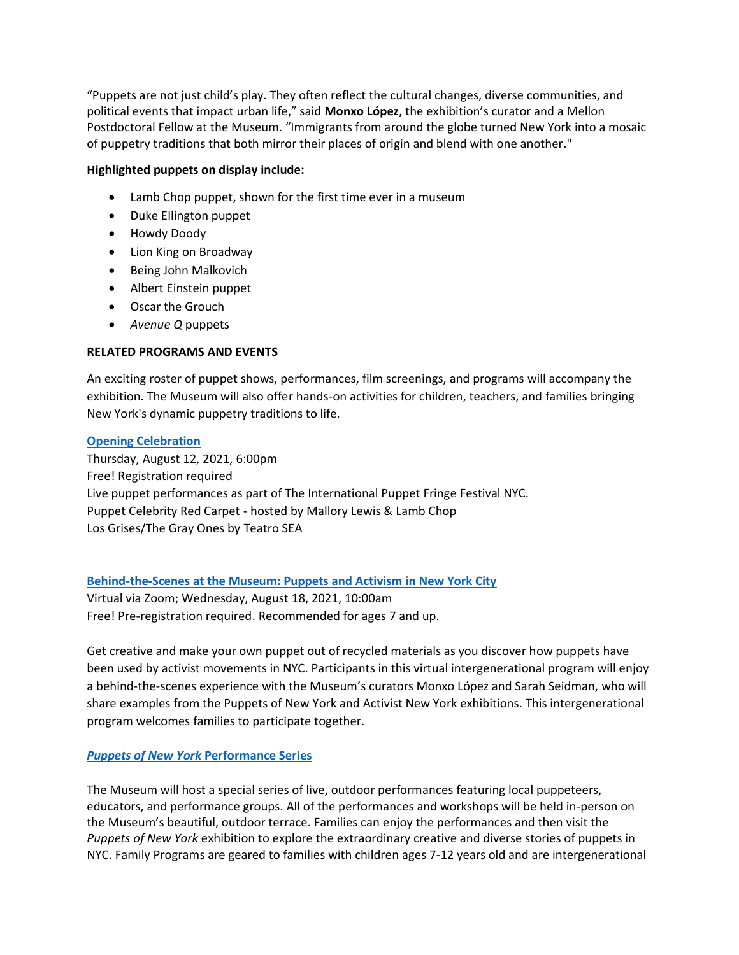"Puppets are not just child's play. They often reflect the cultural changes, diverse communities, and political events that impact urban life," said **Monxo López**, the exhibition's curator and a Mellon Postdoctoral Fellow at the Museum. "Immigrants from around the globe turned New York into a mosaic of puppetry traditions that both mirror their places of origin and blend with one another."

#### **Highlighted puppets on display include:**

- Lamb Chop puppet, shown for the first time ever in a museum
- Duke Ellington puppet
- Howdy Doody
- Lion King on Broadway
- Being John Malkovich
- Albert Einstein puppet
- Oscar the Grouch
- *Avenue Q* puppets

### **RELATED PROGRAMS AND EVENTS**

An exciting roster of puppet shows, performances, film screenings, and programs will accompany the exhibition. The Museum will also offer hands-on activities for children, teachers, and families bringing New York's dynamic puppetry traditions to life.

#### **[Opening Celebration](https://www.mcny.org/event/opening-celebration-puppets-new-york)**

Thursday, August 12, 2021, 6:00pm Free! Registration required Live puppet performances as part of The International Puppet Fringe Festival NYC. Puppet Celebrity Red Carpet - hosted by Mallory Lewis & Lamb Chop Los Grises/The Gray Ones by Teatro SEA

### **[Behind-the-Scenes at the Museum: Puppets and Activism in New York City](https://www.mcny.org/event/behind-scenes-museum-puppets-and-activism-new-york-city)**

Virtual via Zoom; Wednesday, August 18, 2021, 10:00am Free! Pre-registration required. Recommended for ages 7 and up.

Get creative and make your own puppet out of recycled materials as you discover how puppets have been used by activist movements in NYC. Participants in this virtual intergenerational program will enjoy a behind-the-scenes experience with the Museum's curators Monxo López and Sarah Seidman, who will share examples from the Puppets of New York and Activist New York exhibitions. This intergenerational program welcomes families to participate together.

### *[Puppets of New York](https://www.mcny.org/puppets-new-york-performance-series)* **Performance Series**

The Museum will host a special series of live, outdoor performances featuring local puppeteers, educators, and performance groups. All of the performances and workshops will be held in-person on the Museum's beautiful, outdoor terrace. Families can enjoy the performances and then visit the *Puppets of New York* exhibition to explore the extraordinary creative and diverse stories of puppets in NYC. Family Programs are geared to families with children ages 7-12 years old and are intergenerational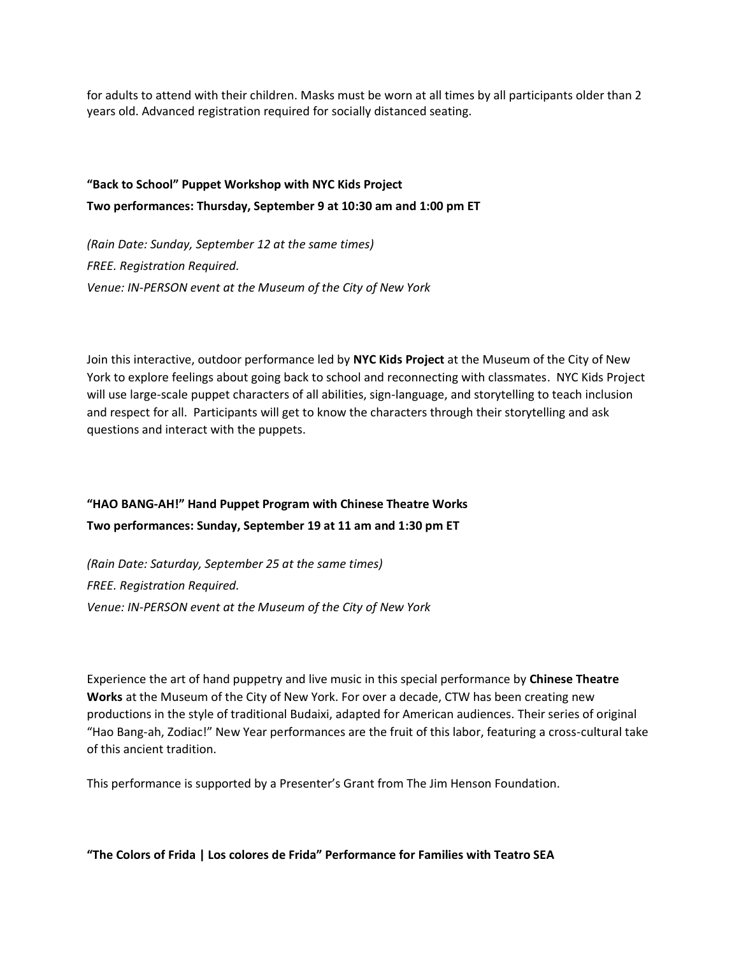for adults to attend with their children. Masks must be worn at all times by all participants older than 2 years old. Advanced registration required for socially distanced seating.

## **"Back to School" Puppet Workshop with NYC Kids Project Two performances: Thursday, September 9 at 10:30 am and 1:00 pm ET**

*(Rain Date: Sunday, September 12 at the same times) FREE. Registration Required. Venue: IN-PERSON event at the Museum of the City of New York*

Join this interactive, outdoor performance led by **NYC Kids Project** at the Museum of the City of New York to explore feelings about going back to school and reconnecting with classmates. NYC Kids Project will use large-scale puppet characters of all abilities, sign-language, and storytelling to teach inclusion and respect for all. Participants will get to know the characters through their storytelling and ask questions and interact with the puppets.

## **"HAO BANG-AH!" Hand Puppet Program with Chinese Theatre Works Two performances: Sunday, September 19 at 11 am and 1:30 pm ET**

*(Rain Date: Saturday, September 25 at the same times) FREE. Registration Required. Venue: IN-PERSON event at the Museum of the City of New York*

Experience the art of hand puppetry and live music in this special performance by **Chinese Theatre Works** at the Museum of the City of New York. For over a decade, CTW has been creating new productions in the style of traditional Budaixi, adapted for American audiences. Their series of original "Hao Bang-ah, Zodiac!" New Year performances are the fruit of this labor, featuring a cross-cultural take of this ancient tradition.

This performance is supported by a Presenter's Grant from The Jim Henson Foundation.

**"The Colors of Frida | Los colores de Frida" Performance for Families with Teatro SEA**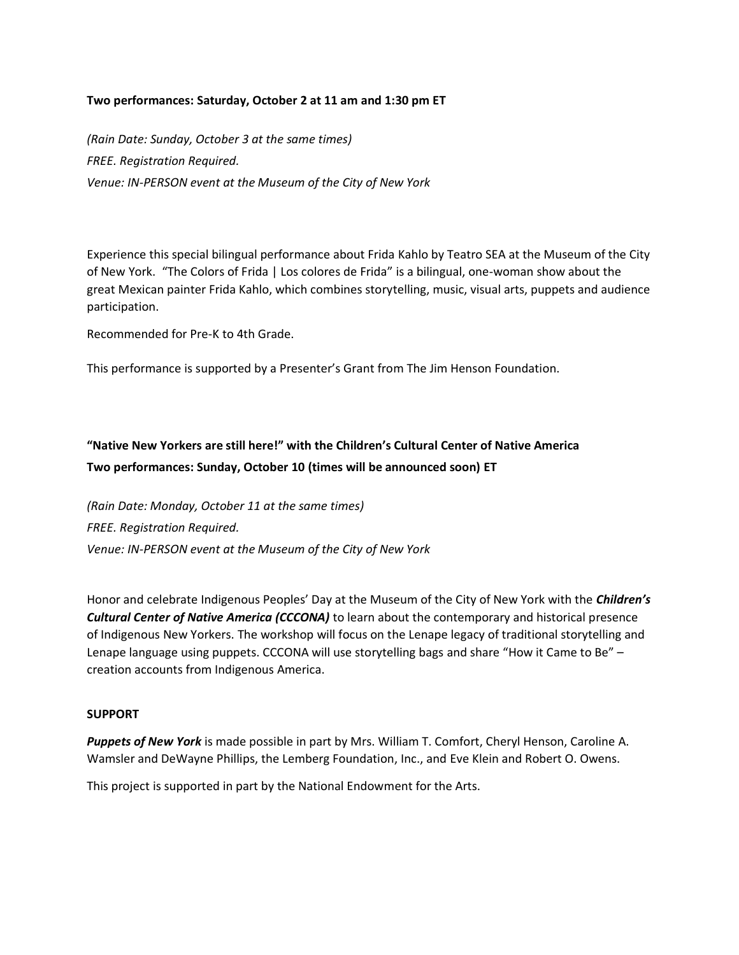#### **Two performances: Saturday, October 2 at 11 am and 1:30 pm ET**

*(Rain Date: Sunday, October 3 at the same times) FREE. Registration Required. Venue: IN-PERSON event at the Museum of the City of New York*

Experience this special bilingual performance about Frida Kahlo by Teatro SEA at the Museum of the City of New York. "The Colors of Frida | Los colores de Frida" is a bilingual, one-woman show about the great Mexican painter Frida Kahlo, which combines storytelling, music, visual arts, puppets and audience participation.

Recommended for Pre-K to 4th Grade.

This performance is supported by a Presenter's Grant from The Jim Henson Foundation.

## **"Native New Yorkers are still here!" with the Children's Cultural Center of Native America Two performances: Sunday, October 10 (times will be announced soon) ET**

*(Rain Date: Monday, October 11 at the same times) FREE. Registration Required. Venue: IN-PERSON event at the Museum of the City of New York*

Honor and celebrate Indigenous Peoples' Day at the Museum of the City of New York with the *Children's Cultural Center of Native America (CCCONA)* to learn about the contemporary and historical presence of Indigenous New Yorkers. The workshop will focus on the Lenape legacy of traditional storytelling and Lenape language using puppets. CCCONA will use storytelling bags and share "How it Came to Be" – creation accounts from Indigenous America.

#### **SUPPORT**

*Puppets of New York* is made possible in part by Mrs. William T. Comfort, Cheryl Henson, Caroline A. Wamsler and DeWayne Phillips, the Lemberg Foundation, Inc., and Eve Klein and Robert O. Owens.

This project is supported in part by the National Endowment for the Arts.